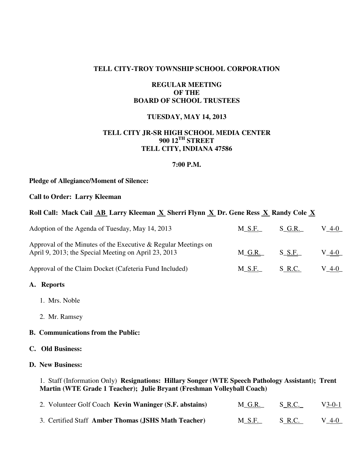### **TELL CITY-TROY TOWNSHIP SCHOOL CORPORATION**

## **REGULAR MEETING OF THE BOARD OF SCHOOL TRUSTEES**

## **TUESDAY, MAY 14, 2013**

# **TELL CITY JR-SR HIGH SCHOOL MEDIA CENTER 900 12TH STREET TELL CITY, INDIANA 47586**

#### **7:00 P.M.**

#### **Pledge of Allegiance/Moment of Silence:**

#### **Call to Order: Larry Kleeman**

## Roll Call: Mack Cail **AB** Larry Kleeman **X** Sherri Flynn **X** Dr. Gene Ress **X** Randy Cole **X**

| Adoption of the Agenda of Tuesday, May 14, 2013                                                                        | $M\_S.F.$ | S G.R.     | $V_4-0$ |
|------------------------------------------------------------------------------------------------------------------------|-----------|------------|---------|
| Approval of the Minutes of the Executive & Regular Meetings on<br>April 9, 2013; the Special Meeting on April 23, 2013 | M G.R.    | $S$ $S.F.$ | V 4-0   |
| Approval of the Claim Docket (Cafeteria Fund Included)                                                                 | M S.F.    | S R.C.     | V 4-0   |

## **A. Reports**

- 1. Mrs. Noble
- 2. Mr. Ramsey

## **B. Communications from the Public:**

## **C. Old Business:**

# **D. New Business:**

1. Staff (Information Only) **Resignations: Hillary Songer (WTE Speech Pathology Assistant); Trent Martin (WTE Grade 1 Teacher); Julie Bryant (Freshman Volleyball Coach)** 

| 2. Volunteer Golf Coach Kevin Waninger (S.F. abstains) | <u>M_G.R.</u> | S_R.C. | $V_3-0-1$ |
|--------------------------------------------------------|---------------|--------|-----------|
| 3. Certified Staff Amber Thomas (JSHS Math Teacher)    | <b>M_S.F.</b> | S R.C. | $V_4-0$   |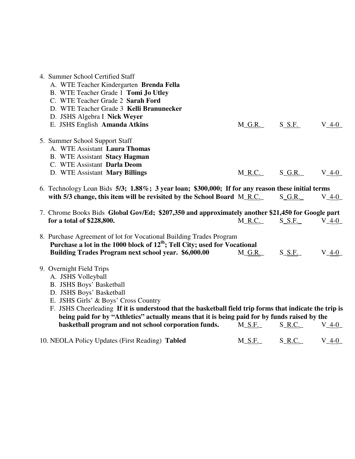| 4. Summer School Certified Staff<br>A. WTE Teacher Kindergarten Brenda Fella<br>B. WTE Teacher Grade 1 Tomi Jo Utley<br>C. WTE Teacher Grade 2 Sarah Ford<br>D. WTE Teacher Grade 3 Kelli Branunecker<br>D. JSHS Algebra I Nick Weyer<br>E. JSHS English Amanda Atkins                                                                                                                                             | $M_G.R.$ S S.F. |           | V 4-0     |
|--------------------------------------------------------------------------------------------------------------------------------------------------------------------------------------------------------------------------------------------------------------------------------------------------------------------------------------------------------------------------------------------------------------------|-----------------|-----------|-----------|
| 5. Summer School Support Staff<br>A. WTE Assistant Laura Thomas<br><b>B.</b> WTE Assistant Stacy Hagman<br>C. WTE Assistant Darla Deom<br>D. WTE Assistant Mary Billings                                                                                                                                                                                                                                           | $M_R.C.$        | $S_G.R.$  | $V_4-0$   |
| 6. Technology Loan Bids 5/3; 1.88%; 3 year loan; \$300,000; If for any reason these initial terms<br>with 5/3 change, this item will be revisited by the School Board M_R.C.                                                                                                                                                                                                                                       |                 | $S_G.R.$  | $V_4-0$   |
| 7. Chrome Books Bids Global Gov/Ed; \$207,350 and approximately another \$21,450 for Google part<br>for a total of \$228,800.                                                                                                                                                                                                                                                                                      | $M_R.C.$        | $S\_S.F.$ | $V_4-0$   |
| 8. Purchase Agreement of lot for Vocational Building Trades Program<br>Purchase a lot in the 1000 block of $12^{th}$ ; Tell City; used for Vocational<br>Building Trades Program next school year. \$6,000.00                                                                                                                                                                                                      | M G.R.          | $S\_S.F.$ | $V$ 4-0   |
| 9. Overnight Field Trips<br>A. JSHS Volleyball<br>B. JSHS Boys' Basketball<br>D. JSHS Boys' Basketball<br>E. JSHS Girls' & Boys' Cross Country<br>F. JSHS Cheerleading If it is understood that the basketball field trip forms that indicate the trip is<br>being paid for by "Athletics" actually means that it is being paid for by funds raised by the<br>basketball program and not school corporation funds. | $M\_S.F.$       | $S_R.C.$  | $V_4-0$   |
| 10. NEOLA Policy Updates (First Reading) Tabled                                                                                                                                                                                                                                                                                                                                                                    | $M_S.F.$        | $S_R.C.$  | $V_4 - 0$ |